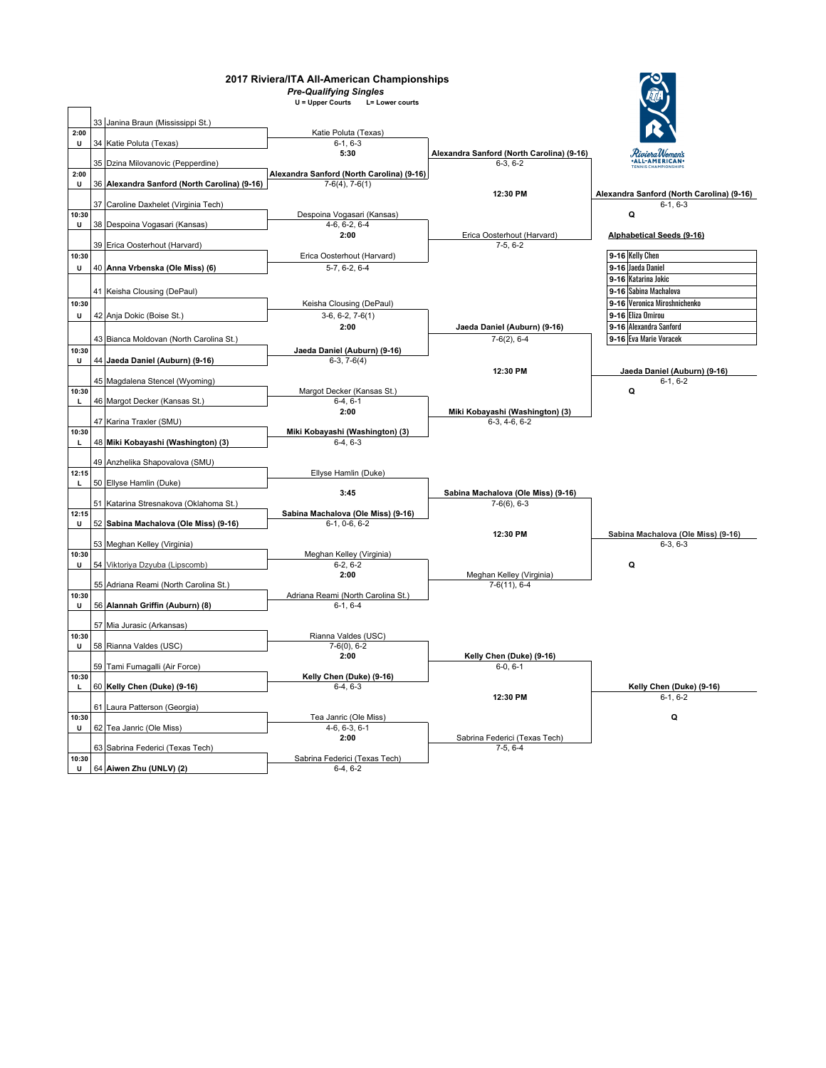| 2017 Riviera/ITA All-American Championships |  |                                              |                                           |                                             |                                                 |
|---------------------------------------------|--|----------------------------------------------|-------------------------------------------|---------------------------------------------|-------------------------------------------------|
|                                             |  |                                              | <b>Pre-Qualifying Singles</b>             |                                             |                                                 |
|                                             |  |                                              | U = Upper Courts<br>L= Lower courts       |                                             |                                                 |
|                                             |  |                                              |                                           |                                             |                                                 |
| 2:00                                        |  | 33 Janina Braun (Mississippi St.)            | Katie Poluta (Texas)                      |                                             |                                                 |
| U                                           |  | 34 Katie Poluta (Texas)                      | $6-1, 6-3$                                |                                             |                                                 |
|                                             |  |                                              | 5:30                                      | Alexandra Sanford (North Carolina) (9-16)   | RivieraWomen's<br>•ALL-AMERICAN•                |
|                                             |  | 35 Dzina Milovanovic (Pepperdine)            |                                           | $6-3.6-2$                                   |                                                 |
| 2:00                                        |  |                                              | Alexandra Sanford (North Carolina) (9-16) |                                             |                                                 |
| U                                           |  | 36 Alexandra Sanford (North Carolina) (9-16) | $7-6(4)$ , $7-6(1)$                       |                                             |                                                 |
|                                             |  |                                              |                                           | 12:30 PM                                    | Alexandra Sanford (North Carolina) (9-16)       |
| 10:30                                       |  | 37 Caroline Daxhelet (Virginia Tech)         | Despoina Vogasari (Kansas)                |                                             | $6-1.6-3$<br>Q                                  |
| U                                           |  | 38 Despoina Vogasari (Kansas)                | $4-6, 6-2, 6-4$                           |                                             |                                                 |
|                                             |  |                                              | 2:00                                      | Erica Oosterhout (Harvard)                  | Alphabetical Seeds (9-16)                       |
|                                             |  | 39 Erica Oosterhout (Harvard)                |                                           | $7-5, 6-2$                                  |                                                 |
| 10:30                                       |  |                                              | Erica Oosterhout (Harvard)                |                                             | 9-16 Kelly Chen                                 |
| U                                           |  | 40 Anna Vrbenska (Ole Miss) (6)              | 5-7, 6-2, 6-4                             |                                             | 9-16 Jaeda Daniel                               |
|                                             |  |                                              |                                           |                                             | 9-16 Katarina Jokic                             |
|                                             |  | 41 Keisha Clousing (DePaul)                  |                                           |                                             | 9-16 Sabina Machalova                           |
| 10:30                                       |  |                                              | Keisha Clousing (DePaul)                  |                                             | 9-16 Veronica Miroshnichenko                    |
| U                                           |  | 42 Anja Dokic (Boise St.)                    | $3-6, 6-2, 7-6(1)$                        |                                             | 9-16 Eliza Omirou                               |
|                                             |  |                                              | 2:00                                      | Jaeda Daniel (Auburn) (9-16)                | 9-16 Alexandra Sanford                          |
|                                             |  | 43 Bianca Moldovan (North Carolina St.)      |                                           | $7-6(2)$ , 6-4                              | 9-16 Eva Marie Voracek                          |
| 10:30                                       |  |                                              | Jaeda Daniel (Auburn) (9-16)              |                                             |                                                 |
| U                                           |  | 44 Jaeda Daniel (Auburn) (9-16)              | $6-3, 7-6(4)$                             |                                             |                                                 |
|                                             |  |                                              |                                           | 12:30 PM                                    | Jaeda Daniel (Auburn) (9-16)                    |
|                                             |  | 45 Magdalena Stencel (Wyoming)               |                                           |                                             | $6-1, 6-2$                                      |
| 10:30                                       |  |                                              | Margot Decker (Kansas St.)                |                                             | Q                                               |
| L                                           |  | 46 Margot Decker (Kansas St.)                | $6-4, 6-1$                                |                                             |                                                 |
|                                             |  |                                              | 2:00                                      | Miki Kobayashi (Washington) (3)             |                                                 |
|                                             |  | 47 Karina Traxler (SMU)                      |                                           | 6-3, 4-6, 6-2                               |                                                 |
| 10:30                                       |  |                                              | Miki Kobayashi (Washington) (3)           |                                             |                                                 |
|                                             |  | 48 Miki Kobayashi (Washington) (3)           | $6-4, 6-3$                                |                                             |                                                 |
|                                             |  | 49 Anzhelika Shapovalova (SMU)               |                                           |                                             |                                                 |
| 12:15                                       |  |                                              | Ellyse Hamlin (Duke)                      |                                             |                                                 |
| L                                           |  | 50 Ellyse Hamlin (Duke)                      |                                           |                                             |                                                 |
|                                             |  |                                              | 3:45                                      | Sabina Machalova (Ole Miss) (9-16)          |                                                 |
|                                             |  | 51 Katarina Stresnakova (Oklahoma St.)       |                                           | $7-6(6)$ , 6-3                              |                                                 |
| 12:15                                       |  |                                              | Sabina Machalova (Ole Miss) (9-16)        |                                             |                                                 |
| U                                           |  | 52 Sabina Machalova (Ole Miss) (9-16)        | $6-1, 0-6, 6-2$                           |                                             |                                                 |
|                                             |  |                                              |                                           | 12:30 PM                                    | Sabina Machalova (Ole Miss) (9-16)<br>$6-3.6-3$ |
| 10:30                                       |  | 53 Meghan Kelley (Virginia)                  | Meghan Kelley (Virginia)                  |                                             |                                                 |
| U                                           |  | 54 Viktoriya Dzyuba (Lipscomb)               | $6-2.6-2$                                 |                                             | Q                                               |
|                                             |  |                                              | 2:00                                      | Meghan Kelley (Virginia)                    |                                                 |
|                                             |  | 55 Adriana Reami (North Carolina St.)        |                                           | $7-6(11), 6-4$                              |                                                 |
| 10:30                                       |  |                                              | Adriana Reami (North Carolina St.)        |                                             |                                                 |
| u                                           |  | 56 Alannah Griffin (Auburn) (8)              | $6-1, 6-4$                                |                                             |                                                 |
|                                             |  |                                              |                                           |                                             |                                                 |
|                                             |  | 57 Mia Jurasic (Arkansas)                    |                                           |                                             |                                                 |
| 10:30<br>$\cup$                             |  | 58 Rianna Valdes (USC)                       | Rianna Valdes (USC)<br>$7-6(0), 6-2$      |                                             |                                                 |
|                                             |  |                                              | 2:00                                      | Kelly Chen (Duke) (9-16)                    |                                                 |
|                                             |  | 59 Tami Fumagalli (Air Force)                |                                           | $6-0, 6-1$                                  |                                                 |
| 10:30                                       |  |                                              | Kelly Chen (Duke) (9-16)                  |                                             |                                                 |
| -L                                          |  | 60 Kelly Chen (Duke) (9-16)                  | $6-4, 6-3$                                |                                             | Kelly Chen (Duke) (9-16)                        |
|                                             |  |                                              |                                           | 12:30 PM                                    | $6-1, 6-2$                                      |
|                                             |  | 61 Laura Patterson (Georgia)                 |                                           |                                             |                                                 |
| 10:30                                       |  |                                              | Tea Janric (Ole Miss)                     |                                             | Q                                               |
| U                                           |  | 62 Tea Janric (Ole Miss)                     | $4-6, 6-3, 6-1$<br>2:00                   |                                             |                                                 |
|                                             |  | 63 Sabrina Federici (Texas Tech)             |                                           | Sabrina Federici (Texas Tech)<br>$7-5, 6-4$ |                                                 |
| 10:30                                       |  |                                              | Sabrina Federici (Texas Tech)             |                                             |                                                 |
| $\mathbf{u}$                                |  | 64 Aiwen Zhu (UNLV) (2)                      | $6-4, 6-2$                                |                                             |                                                 |
|                                             |  |                                              |                                           |                                             |                                                 |